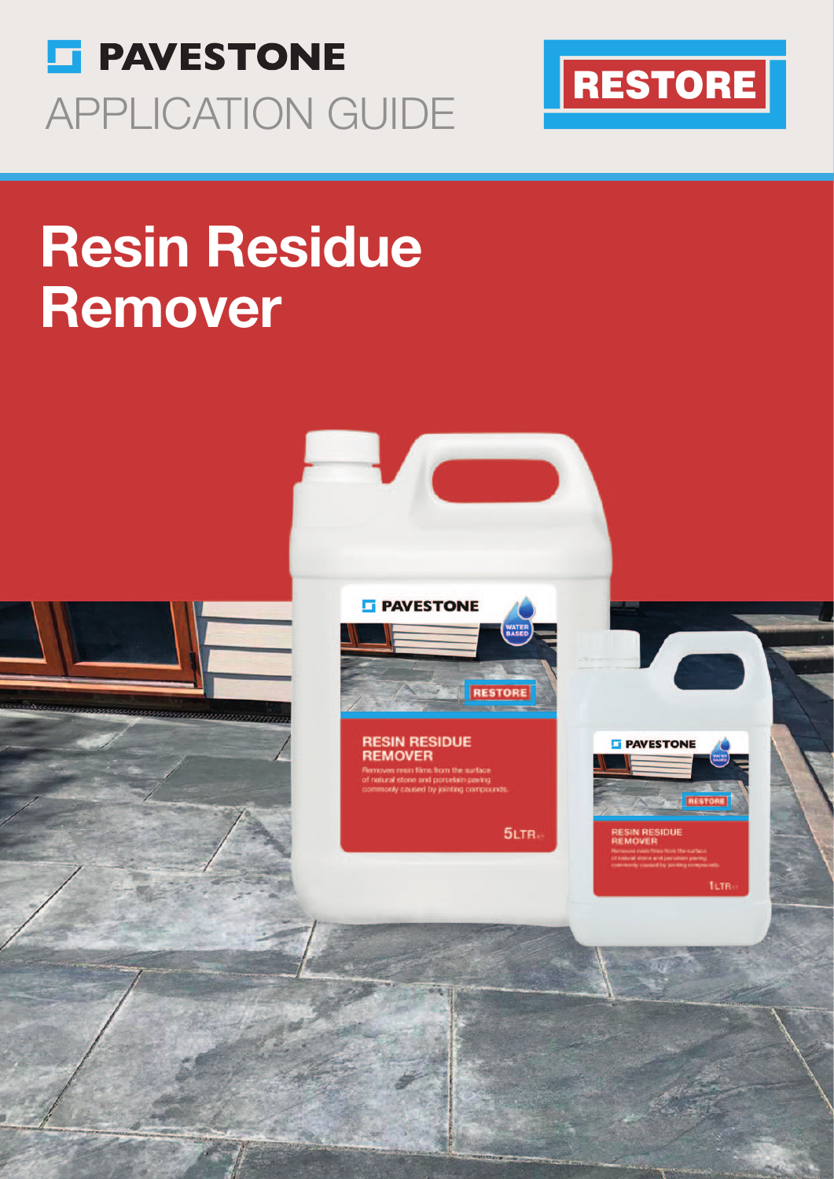



# Resin Residue Remover

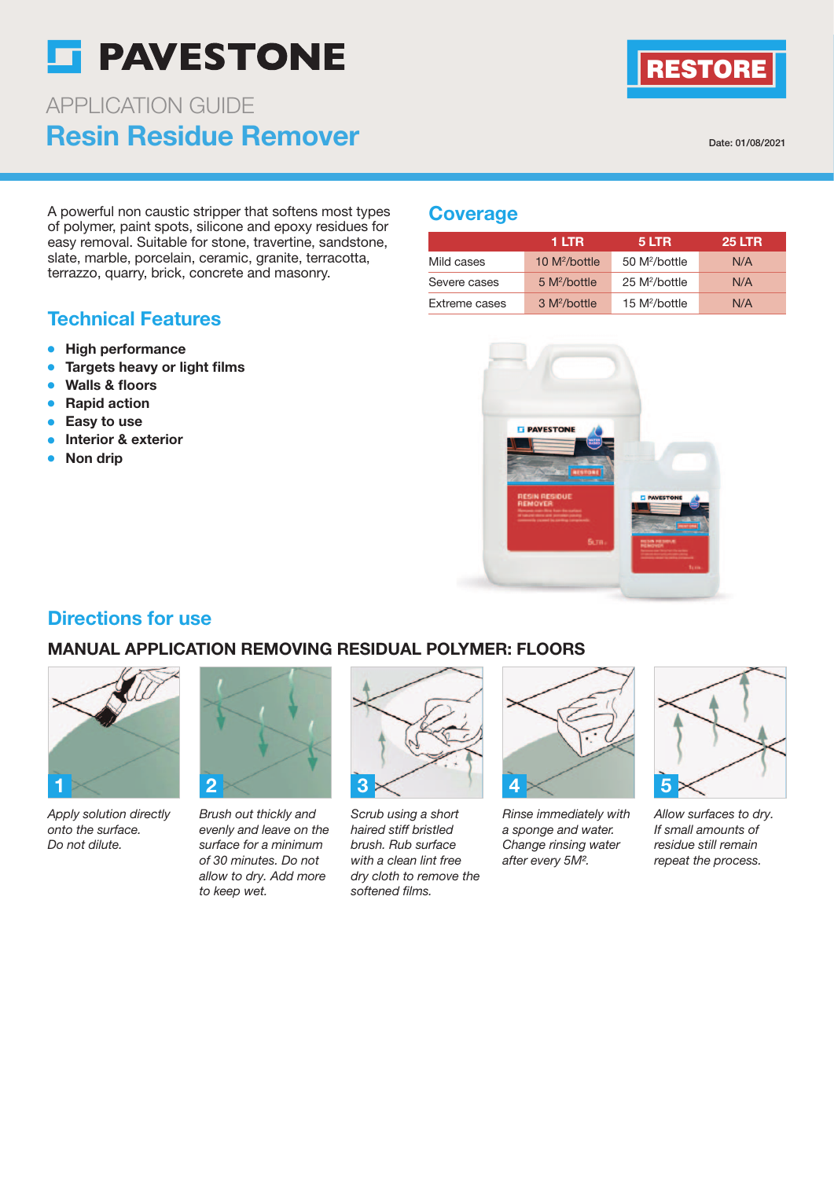## **ST PAVESTONE**

### Resin Residue Remover APPLICATION GUIDE

Date: 01/08/2021

RESTORE

A powerful non caustic stripper that softens most types of polymer, paint spots, silicone and epoxy residues for easy removal. Suitable for stone, travertine, sandstone, slate, marble, porcelain, ceramic, granite, terracotta, terrazzo, quarry, brick, concrete and masonry.

#### Technical Features

- High performance
- Targets heavy or light films
- **Walls & floors**
- Rapid action
- Easy to use
- Interior & exterior
- **Non drip**

#### **Coverage**

|               | 1 LTR                    | 5 LTR                     | <b>25 LTR</b> |
|---------------|--------------------------|---------------------------|---------------|
| Mild cases    | 10 $M^2/b$ ottle         | 50 M <sup>2</sup> /bottle | N/A           |
| Severe cases  | 5 M <sup>2</sup> /bottle | 25 M <sup>2</sup> /bottle | N/A           |
| Extreme cases | 3 M <sup>2</sup> /bottle | 15 M <sup>2</sup> /bottle | N/A           |



#### Directions for use

#### MANUAL APPLICATION REMOVING RESIDUAL POLYMER: FLOORS



Apply solution directly onto the surface. Do not dilute.



Brush out thickly and evenly and leave on the surface for a minimum of 30 minutes. Do not allow to dry. Add more to keep wet.



Scrub using a short haired stiff bristled brush. Rub surface with a clean lint free dry cloth to remove the softened films.



Rinse immediately with a sponge and water. Change rinsing water after every 5M².



Allow surfaces to dry. If small amounts of residue still remain repeat the process.